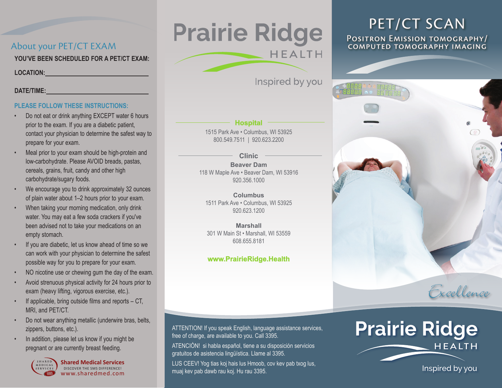## About your PET/CT EXAM

**YOU'VE BEEN SCHEDULED FOR A PET/CT EXAM:**

**LOCATION:** 

#### **DATE/TIME:**

### **PLEASE FOLLOW THESE INSTRUCTIONS:**

- Do not eat or drink anything EXCEPT water 6 hours prior to the exam. If you are a diabetic patient, contact your physician to determine the safest way to prepare for your exam.
- Meal prior to your exam should be high-protein and low-carbohydrate. Please AVOID breads, pastas, cereals, grains, fruit, candy and other high carbohydrate/sugary foods.
- We encourage you to drink approximately 32 ounces of plain water about 1–2 hours prior to your exam.
- When taking your morning medication, only drink water. You may eat a few soda crackers if you've been advised not to take your medications on an empty stomach.
- If you are diabetic, let us know ahead of time so we can work with your physician to determine the safest possible way for you to prepare for your exam.
- NO nicotine use or chewing gum the day of the exam.
- Avoid strenuous physical activity for 24 hours prior to exam (heavy lifting, vigorous exercise, etc.).
- If applicable, bring outside films and reports  $-CT$ , MRI, and PET/CT.
- Do not wear anything metallic (underwire bras, belts, zippers, buttons, etc.).
- In addition, please let us know if you might be pregnant or are currently breast feeding.



www.sharedmed.com **Shared Medical Services** DISCOVER THE SMS DIFFERENCE!

## **Prairie Ridge HEALTH**

Inspired by you

## **Hospital**

1515 Park Ave • Columbus, WI 53925 800.549.7511 | 920.623.2200

#### **Clinic**

**Beaver Dam** 118 W Maple Ave • Beaver Dam, WI 53916 920.356.1000

**Columbus** 1511 Park Ave • Columbus, WI 53925 920.623.1200

**Marshall** 301 W Main St • Marshall, WI 53559 608.655.8181

## **www.PrairieRidge.Health**

ATTENTION! If you speak English, language assistance services, free of charge, are available to you. Call 3395.

ATENCIÓN! si habla español, tiene a su disposición servicios gratuitos de asistencia lingüística. Llame al 3395.

LUS CEEV! Yog tias koj hais lus Hmoob, cov kev pab txog lus, muaj kev pab dawb rau koj. Hu rau 3395.

# PET/CT SCAN<br>Positron Emission tomography/<br>COMPUTED TOMOGRAPHY IMAGING



## **Prairie Ridge HEALTH**

Inspired by you